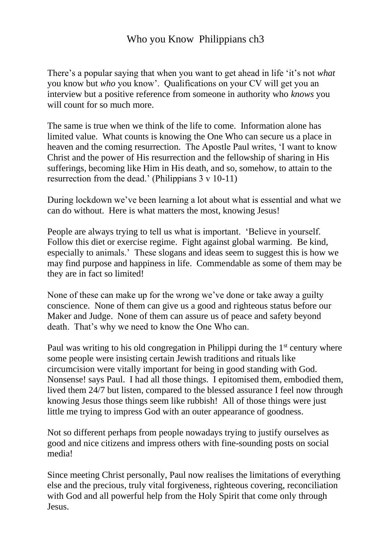## Who you Know Philippians ch<sub>3</sub>

There's a popular saying that when you want to get ahead in life 'it's not *what* you know but *who* you know'. Qualifications on your CV will get you an interview but a positive reference from someone in authority who *knows* you will count for so much more.

The same is true when we think of the life to come. Information alone has limited value. What counts is knowing the One Who can secure us a place in heaven and the coming resurrection. The Apostle Paul writes, 'I want to know Christ and the power of His resurrection and the fellowship of sharing in His sufferings, becoming like Him in His death, and so, somehow, to attain to the resurrection from the dead.' (Philippians 3 v 10-11)

During lockdown we've been learning a lot about what is essential and what we can do without. Here is what matters the most, knowing Jesus!

People are always trying to tell us what is important. 'Believe in yourself. Follow this diet or exercise regime. Fight against global warming. Be kind, especially to animals.' These slogans and ideas seem to suggest this is how we may find purpose and happiness in life. Commendable as some of them may be they are in fact so limited!

None of these can make up for the wrong we've done or take away a guilty conscience. None of them can give us a good and righteous status before our Maker and Judge. None of them can assure us of peace and safety beyond death. That's why we need to know the One Who can.

Paul was writing to his old congregation in Philippi during the 1<sup>st</sup> century where some people were insisting certain Jewish traditions and rituals like circumcision were vitally important for being in good standing with God. Nonsense! says Paul. I had all those things. I epitomised them, embodied them, lived them 24/7 but listen, compared to the blessed assurance I feel now through knowing Jesus those things seem like rubbish! All of those things were just little me trying to impress God with an outer appearance of goodness.

Not so different perhaps from people nowadays trying to justify ourselves as good and nice citizens and impress others with fine-sounding posts on social media!

Since meeting Christ personally, Paul now realises the limitations of everything else and the precious, truly vital forgiveness, righteous covering, reconciliation with God and all powerful help from the Holy Spirit that come only through Jesus.